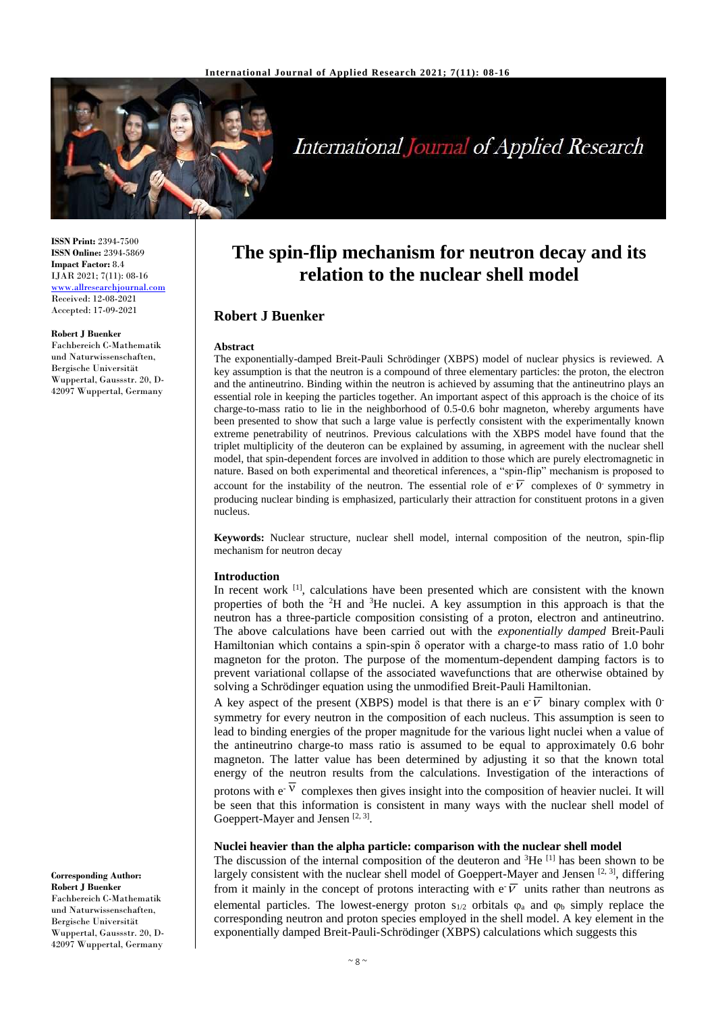

# International Journal of Applied Research

**ISSN Print:** 2394-7500 **ISSN Online:** 2394-5869 **Impact Factor:** 8.4 IJAR 2021; 7(11): 08-16 <www.allresearchjournal.com> Received: 12-08-2021 Accepted: 17-09-2021

#### **Robert J Buenker**

Fachbereich C-Mathematik und Naturwissenschaften, Bergische Universität Wuppertal, Gaussstr. 20, D-42097 Wuppertal, Germany

**Corresponding Author: Robert J Buenker** Fachbereich C-Mathematik und Naturwissenschaften, Bergische Universität Wuppertal, Gaussstr. 20, D-42097 Wuppertal, Germany

# **The spin-flip mechanism for neutron decay and its relation to the nuclear shell model**

# **Robert J Buenker**

#### **Abstract**

The exponentially-damped Breit-Pauli Schrödinger (XBPS) model of nuclear physics is reviewed. A key assumption is that the neutron is a compound of three elementary particles: the proton, the electron and the antineutrino. Binding within the neutron is achieved by assuming that the antineutrino plays an essential role in keeping the particles together. An important aspect of this approach is the choice of its charge-to-mass ratio to lie in the neighborhood of 0.5-0.6 bohr magneton, whereby arguments have been presented to show that such a large value is perfectly consistent with the experimentally known extreme penetrability of neutrinos. Previous calculations with the XBPS model have found that the triplet multiplicity of the deuteron can be explained by assuming, in agreement with the nuclear shell model, that spin-dependent forces are involved in addition to those which are purely electromagnetic in nature. Based on both experimental and theoretical inferences, a "spin-flip" mechanism is proposed to account for the instability of the neutron. The essential role of  $e\overline{V}$  complexes of 0 symmetry in producing nuclear binding is emphasized, particularly their attraction for constituent protons in a given nucleus.

**Keywords:** Nuclear structure, nuclear shell model, internal composition of the neutron, spin-flip mechanism for neutron decay

#### **Introduction**

In recent work <sup>[1]</sup>, calculations have been presented which are consistent with the known properties of both the  ${}^{2}H$  and  ${}^{3}He$  nuclei. A key assumption in this approach is that the neutron has a three-particle composition consisting of a proton, electron and antineutrino. The above calculations have been carried out with the *exponentially damped* Breit-Pauli Hamiltonian which contains a spin-spin  $\delta$  operator with a charge-to mass ratio of 1.0 bohr magneton for the proton. The purpose of the momentum-dependent damping factors is to prevent variational collapse of the associated wavefunctions that are otherwise obtained by solving a Schrödinger equation using the unmodified Breit-Pauli Hamiltonian.

A key aspect of the present (XBPS) model is that there is an e  $\overline{V}$  binary complex with 0 symmetry for every neutron in the composition of each nucleus. This assumption is seen to lead to binding energies of the proper magnitude for the various light nuclei when a value of the antineutrino charge-to mass ratio is assumed to be equal to approximately 0.6 bohr magneton. The latter value has been determined by adjusting it so that the known total energy of the neutron results from the calculations. Investigation of the interactions of

protons with  $e^{-V}$  complexes then gives insight into the composition of heavier nuclei. It will be seen that this information is consistent in many ways with the nuclear shell model of Goeppert-Mayer and Jensen<sup>[2, 3]</sup>.

# **Nuclei heavier than the alpha particle: comparison with the nuclear shell model**

The discussion of the internal composition of the deuteron and  ${}^{3}He$  [1] has been shown to be largely consistent with the nuclear shell model of Goeppert-Mayer and Jensen [2, 3], differing from it mainly in the concept of protons interacting with  $e^{\cdot}$  with stather than neutrons as elemental particles. The lowest-energy proton  $s_{1/2}$  orbitals  $\varphi_a$  and  $\varphi_b$  simply replace the corresponding neutron and proton species employed in the shell model. A key element in the exponentially damped Breit-Pauli-Schrödinger (XBPS) calculations which suggests this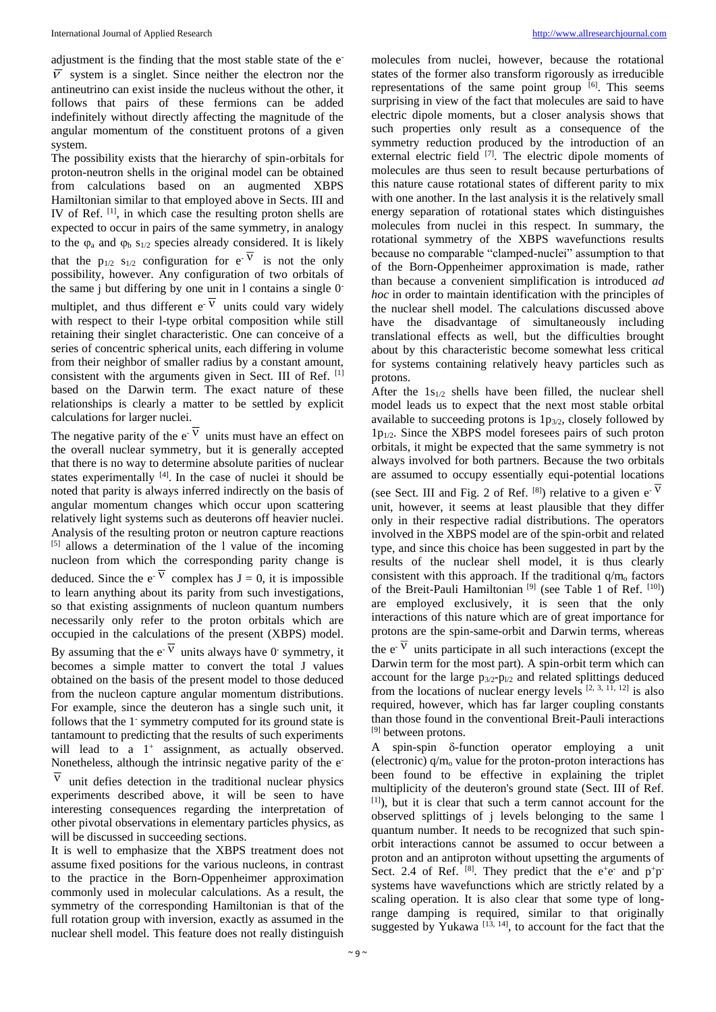adjustment is the finding that the most stable state of the e-  $\overline{V}$  system is a singlet. Since neither the electron nor the antineutrino can exist inside the nucleus without the other, it follows that pairs of these fermions can be added indefinitely without directly affecting the magnitude of the angular momentum of the constituent protons of a given system.

The possibility exists that the hierarchy of spin-orbitals for proton-neutron shells in the original model can be obtained from calculations based on an augmented XBPS Hamiltonian similar to that employed above in Sects. III and IV of Ref. [1], in which case the resulting proton shells are expected to occur in pairs of the same symmetry, in analogy to the  $\varphi_a$  and  $\varphi_b$  s<sub>1/2</sub> species already considered. It is likely that the  $p_{1/2}$  s<sub>1/2</sub> configuration for  $e^{-V}$  is not the only possibility, however. Any configuration of two orbitals of the same j but differing by one unit in l contains a single 0 multiplet, and thus different  $e^V$  units could vary widely with respect to their l-type orbital composition while still retaining their singlet characteristic. One can conceive of a series of concentric spherical units, each differing in volume from their neighbor of smaller radius by a constant amount, consistent with the arguments given in Sect. III of Ref. [1] based on the Darwin term. The exact nature of these relationships is clearly a matter to be settled by explicit calculations for larger nuclei.

The negative parity of the  $e^V$  units must have an effect on the overall nuclear symmetry, but it is generally accepted that there is no way to determine absolute parities of nuclear states experimentally  $[4]$ . In the case of nuclei it should be noted that parity is always inferred indirectly on the basis of angular momentum changes which occur upon scattering relatively light systems such as deuterons off heavier nuclei. Analysis of the resulting proton or neutron capture reactions [5] allows a determination of the l value of the incoming nucleon from which the corresponding parity change is deduced. Since the  $e^V$  complex has  $J = 0$ , it is impossible to learn anything about its parity from such investigations, so that existing assignments of nucleon quantum numbers necessarily only refer to the proton orbitals which are occupied in the calculations of the present (XBPS) model. By assuming that the  $e^V$  units always have 0 symmetry, it

becomes a simple matter to convert the total J values obtained on the basis of the present model to those deduced from the nucleon capture angular momentum distributions. For example, since the deuteron has a single such unit, it follows that the 1<sup>-</sup> symmetry computed for its ground state is tantamount to predicting that the results of such experiments will lead to a  $1^+$  assignment, as actually observed. Nonetheless, although the intrinsic negative parity of the e-

 $\overline{\nu}$ unit defies detection in the traditional nuclear physics experiments described above, it will be seen to have interesting consequences regarding the interpretation of other pivotal observations in elementary particles physics, as will be discussed in succeeding sections.

It is well to emphasize that the XBPS treatment does not assume fixed positions for the various nucleons, in contrast to the practice in the Born-Oppenheimer approximation commonly used in molecular calculations. As a result, the symmetry of the corresponding Hamiltonian is that of the full rotation group with inversion, exactly as assumed in the nuclear shell model. This feature does not really distinguish

molecules from nuclei, however, because the rotational states of the former also transform rigorously as irreducible representations of the same point group  $[6]$ . This seems surprising in view of the fact that molecules are said to have electric dipole moments, but a closer analysis shows that such properties only result as a consequence of the symmetry reduction produced by the introduction of an external electric field <sup>[7]</sup>. The electric dipole moments of molecules are thus seen to result because perturbations of this nature cause rotational states of different parity to mix with one another. In the last analysis it is the relatively small energy separation of rotational states which distinguishes molecules from nuclei in this respect. In summary, the rotational symmetry of the XBPS wavefunctions results because no comparable "clamped-nuclei" assumption to that of the Born-Oppenheimer approximation is made, rather than because a convenient simplification is introduced *ad hoc* in order to maintain identification with the principles of the nuclear shell model. The calculations discussed above have the disadvantage of simultaneously including translational effects as well, but the difficulties brought about by this characteristic become somewhat less critical for systems containing relatively heavy particles such as protons.

After the  $1s_{1/2}$  shells have been filled, the nuclear shell model leads us to expect that the next most stable orbital available to succeeding protons is  $1p_{3/2}$ , closely followed by  $1p_{1/2}$ . Since the XBPS model foresees pairs of such proton orbitals, it might be expected that the same symmetry is not always involved for both partners. Because the two orbitals are assumed to occupy essentially equi-potential locations

(see Sect. III and Fig. 2 of Ref.  $^{[8]}$ ) relative to a given e<sup>- $\overline{V}$ </sup> unit, however, it seems at least plausible that they differ only in their respective radial distributions. The operators involved in the XBPS model are of the spin-orbit and related type, and since this choice has been suggested in part by the results of the nuclear shell model, it is thus clearly consistent with this approach. If the traditional  $q/m_0$  factors of the Breit-Pauli Hamiltonian  $[9]$  (see Table 1 of Ref.  $[10]$ ) are employed exclusively, it is seen that the only interactions of this nature which are of great importance for protons are the spin-same-orbit and Darwin terms, whereas

the  $e^V$  units participate in all such interactions (except the Darwin term for the most part). A spin-orbit term which can account for the large  $p_{3/2}$ - $p_{1/2}$  and related splittings deduced from the locations of nuclear energy levels  $[2, 3, 1\overline{1}, 12]$  is also required, however, which has far larger coupling constants than those found in the conventional Breit-Pauli interactions <sup>[9]</sup> between protons.

A spin-spin  $\delta$ -function operator employing a unit (electronic)  $q/m_0$  value for the proton-proton interactions has been found to be effective in explaining the triplet multiplicity of the deuteron's ground state (Sect. III of Ref. [1]), but it is clear that such a term cannot account for the observed splittings of j levels belonging to the same l quantum number. It needs to be recognized that such spinorbit interactions cannot be assumed to occur between a proton and an antiproton without upsetting the arguments of Sect. 2.4 of Ref.  $[8]$ . They predict that the e<sup>+</sup>e<sup>-</sup> and p<sup>+</sup>p<sup>-</sup> systems have wavefunctions which are strictly related by a scaling operation. It is also clear that some type of longrange damping is required, similar to that originally suggested by Yukawa<sup>[13, 14]</sup>, to account for the fact that the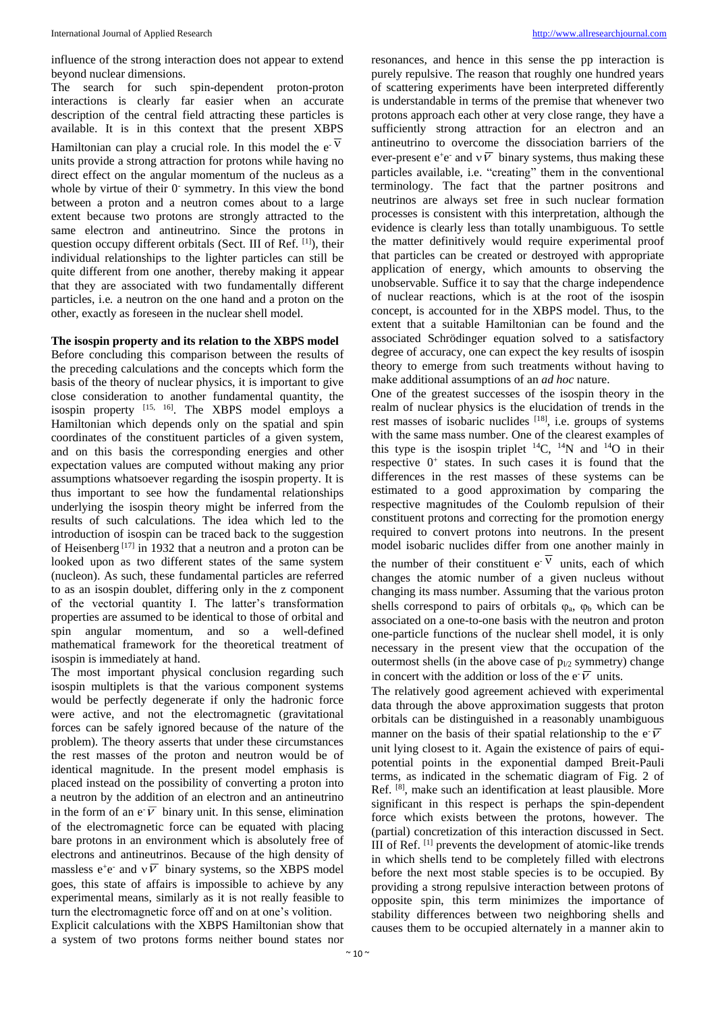influence of the strong interaction does not appear to extend beyond nuclear dimensions.

The search for such spin-dependent proton-proton interactions is clearly far easier when an accurate description of the central field attracting these particles is available. It is in this context that the present XBPS Hamiltonian can play a crucial role. In this model the  $e^{-\overline{V}}$ units provide a strong attraction for protons while having no direct effect on the angular momentum of the nucleus as a whole by virtue of their 0<sup>-</sup> symmetry. In this view the bond between a proton and a neutron comes about to a large extent because two protons are strongly attracted to the same electron and antineutrino. Since the protons in question occupy different orbitals (Sect. III of Ref. [1]), their individual relationships to the lighter particles can still be quite different from one another, thereby making it appear that they are associated with two fundamentally different particles, i.e*.* a neutron on the one hand and a proton on the other, exactly as foreseen in the nuclear shell model.

# **The isospin property and its relation to the XBPS model**

Before concluding this comparison between the results of the preceding calculations and the concepts which form the basis of the theory of nuclear physics, it is important to give close consideration to another fundamental quantity, the isospin property  $[15, 16]$ . The XBPS model employs a Hamiltonian which depends only on the spatial and spin coordinates of the constituent particles of a given system, and on this basis the corresponding energies and other expectation values are computed without making any prior assumptions whatsoever regarding the isospin property. It is thus important to see how the fundamental relationships underlying the isospin theory might be inferred from the results of such calculations. The idea which led to the introduction of isospin can be traced back to the suggestion of Heisenberg  $[17]$  in 1932 that a neutron and a proton can be looked upon as two different states of the same system (nucleon). As such, these fundamental particles are referred to as an isospin doublet, differing only in the z component of the vectorial quantity I. The latter's transformation properties are assumed to be identical to those of orbital and spin angular momentum, and so a well-defined mathematical framework for the theoretical treatment of isospin is immediately at hand.

The most important physical conclusion regarding such isospin multiplets is that the various component systems would be perfectly degenerate if only the hadronic force were active, and not the electromagnetic (gravitational forces can be safely ignored because of the nature of the problem). The theory asserts that under these circumstances the rest masses of the proton and neutron would be of identical magnitude. In the present model emphasis is placed instead on the possibility of converting a proton into a neutron by the addition of an electron and an antineutrino in the form of an e $\overline{v}$  binary unit. In this sense, elimination of the electromagnetic force can be equated with placing bare protons in an environment which is absolutely free of electrons and antineutrinos. Because of the high density of massless  $e^+e^-$  and  $v\overline{V}$  binary systems, so the XBPS model goes, this state of affairs is impossible to achieve by any experimental means, similarly as it is not really feasible to turn the electromagnetic force off and on at one's volition. Explicit calculations with the XBPS Hamiltonian show that a system of two protons forms neither bound states nor

resonances, and hence in this sense the pp interaction is purely repulsive. The reason that roughly one hundred years of scattering experiments have been interpreted differently is understandable in terms of the premise that whenever two protons approach each other at very close range, they have a sufficiently strong attraction for an electron and an antineutrino to overcome the dissociation barriers of the ever-present e<sup>+</sup>e<sup>-</sup> and  $v\overline{V}$  binary systems, thus making these particles available, i.e. "creating" them in the conventional terminology. The fact that the partner positrons and neutrinos are always set free in such nuclear formation processes is consistent with this interpretation, although the evidence is clearly less than totally unambiguous. To settle the matter definitively would require experimental proof that particles can be created or destroyed with appropriate application of energy, which amounts to observing the unobservable. Suffice it to say that the charge independence of nuclear reactions, which is at the root of the isospin concept, is accounted for in the XBPS model. Thus, to the extent that a suitable Hamiltonian can be found and the associated Schrödinger equation solved to a satisfactory degree of accuracy, one can expect the key results of isospin theory to emerge from such treatments without having to make additional assumptions of an *ad hoc* nature.

One of the greatest successes of the isospin theory in the realm of nuclear physics is the elucidation of trends in the rest masses of isobaric nuclides  $[18]$ , i.e. groups of systems with the same mass number. One of the clearest examples of this type is the isospin triplet  $^{14}C$ ,  $^{14}N$  and  $^{14}O$  in their respective  $0^+$  states. In such cases it is found that the differences in the rest masses of these systems can be estimated to a good approximation by comparing the respective magnitudes of the Coulomb repulsion of their constituent protons and correcting for the promotion energy required to convert protons into neutrons. In the present model isobaric nuclides differ from one another mainly in the number of their constituent  $e^{V}$  units, each of which changes the atomic number of a given nucleus without changing its mass number. Assuming that the various proton shells correspond to pairs of orbitals  $\varphi_a$ ,  $\varphi_b$  which can be associated on a one-to-one basis with the neutron and proton one-particle functions of the nuclear shell model, it is only necessary in the present view that the occupation of the outermost shells (in the above case of  $p_{1/2}$  symmetry) change in concert with the addition or loss of the e<sup>-</sup> $\overline{V}$  units.

The relatively good agreement achieved with experimental data through the above approximation suggests that proton orbitals can be distinguished in a reasonably unambiguous manner on the basis of their spatial relationship to the  $e^{\sqrt{V}}$ unit lying closest to it. Again the existence of pairs of equipotential points in the exponential damped Breit-Pauli terms, as indicated in the schematic diagram of Fig. 2 of Ref. [8], make such an identification at least plausible. More significant in this respect is perhaps the spin-dependent force which exists between the protons, however. The (partial) concretization of this interaction discussed in Sect. III of Ref. [1] prevents the development of atomic-like trends in which shells tend to be completely filled with electrons before the next most stable species is to be occupied. By providing a strong repulsive interaction between protons of opposite spin, this term minimizes the importance of stability differences between two neighboring shells and causes them to be occupied alternately in a manner akin to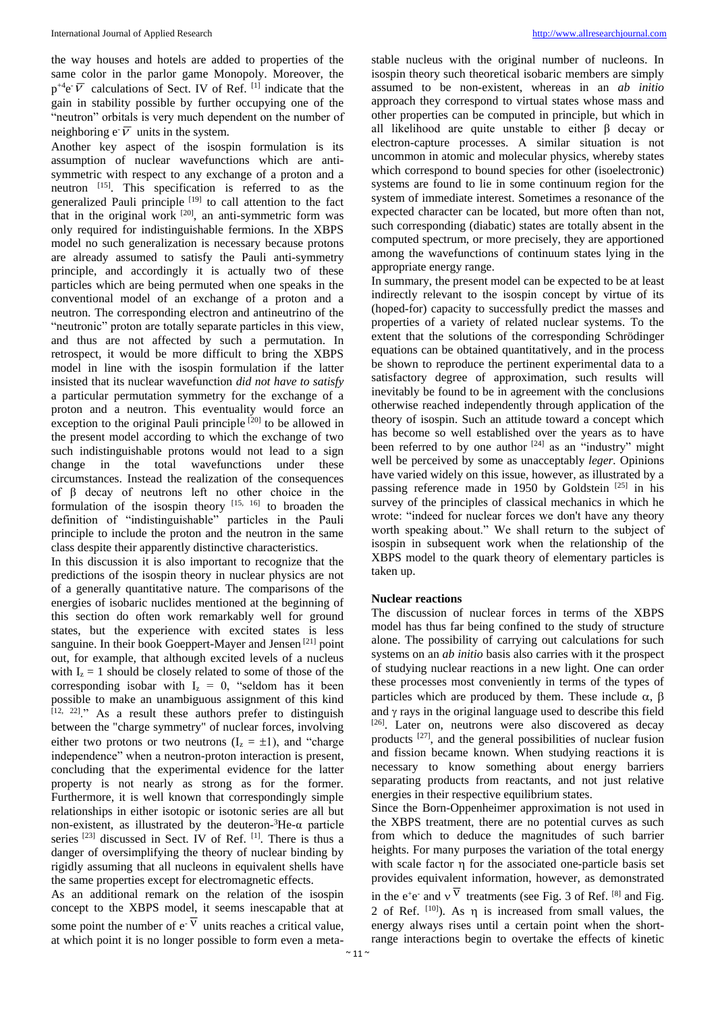the way houses and hotels are added to properties of the same color in the parlor game Monopoly. Moreover, the  $p^{+4}e^{-}\overline{V}$  calculations of Sect. IV of Ref. <sup>[1]</sup> indicate that the gain in stability possible by further occupying one of the "neutron" orbitals is very much dependent on the number of neighboring  $e^{\sqrt{V}}$  units in the system.

Another key aspect of the isospin formulation is its assumption of nuclear wavefunctions which are antisymmetric with respect to any exchange of a proton and a neutron [15]. This specification is referred to as the generalized Pauli principle [19] to call attention to the fact that in the original work  $[20]$ , an anti-symmetric form was only required for indistinguishable fermions. In the XBPS model no such generalization is necessary because protons are already assumed to satisfy the Pauli anti-symmetry principle, and accordingly it is actually two of these particles which are being permuted when one speaks in the conventional model of an exchange of a proton and a neutron. The corresponding electron and antineutrino of the "neutronic" proton are totally separate particles in this view, and thus are not affected by such a permutation. In retrospect, it would be more difficult to bring the XBPS model in line with the isospin formulation if the latter insisted that its nuclear wavefunction *did not have to satisfy*  a particular permutation symmetry for the exchange of a proton and a neutron. This eventuality would force an exception to the original Pauli principle  $[20]$  to be allowed in the present model according to which the exchange of two such indistinguishable protons would not lead to a sign change in the total wavefunctions under these circumstances. Instead the realization of the consequences of β decay of neutrons left no other choice in the formulation of the isospin theory  $[15, 16]$  to broaden the definition of "indistinguishable" particles in the Pauli principle to include the proton and the neutron in the same class despite their apparently distinctive characteristics.

In this discussion it is also important to recognize that the predictions of the isospin theory in nuclear physics are not of a generally quantitative nature. The comparisons of the energies of isobaric nuclides mentioned at the beginning of this section do often work remarkably well for ground states, but the experience with excited states is less sanguine. In their book Goeppert-Mayer and Jensen<sup>[21]</sup> point out, for example, that although excited levels of a nucleus with  $I_z = 1$  should be closely related to some of those of the corresponding isobar with  $I_z = 0$ , "seldom has it been possible to make an unambiguous assignment of this kind [12, 22]." As a result these authors prefer to distinguish between the "charge symmetry" of nuclear forces, involving either two protons or two neutrons  $(I_z = \pm 1)$ , and "charge" independence" when a neutron-proton interaction is present, concluding that the experimental evidence for the latter property is not nearly as strong as for the former. Furthermore, it is well known that correspondingly simple relationships in either isotopic or isotonic series are all but non-existent, as illustrated by the deuteron- ${}^{3}$ He- $\alpha$  particle series [23] discussed in Sect. IV of Ref. [1]. There is thus a danger of oversimplifying the theory of nuclear binding by rigidly assuming that all nucleons in equivalent shells have the same properties except for electromagnetic effects.

As an additional remark on the relation of the isospin concept to the XBPS model, it seems inescapable that at some point the number of  $e^{-V}$  units reaches a critical value, at which point it is no longer possible to form even a meta-

stable nucleus with the original number of nucleons. In isospin theory such theoretical isobaric members are simply assumed to be non-existent, whereas in an *ab initio*  approach they correspond to virtual states whose mass and other properties can be computed in principle, but which in all likelihood are quite unstable to either β decay or electron-capture processes. A similar situation is not uncommon in atomic and molecular physics, whereby states which correspond to bound species for other (isoelectronic) systems are found to lie in some continuum region for the system of immediate interest. Sometimes a resonance of the expected character can be located, but more often than not, such corresponding (diabatic) states are totally absent in the computed spectrum, or more precisely, they are apportioned among the wavefunctions of continuum states lying in the appropriate energy range.

In summary, the present model can be expected to be at least indirectly relevant to the isospin concept by virtue of its (hoped-for) capacity to successfully predict the masses and properties of a variety of related nuclear systems. To the extent that the solutions of the corresponding Schrödinger equations can be obtained quantitatively, and in the process be shown to reproduce the pertinent experimental data to a satisfactory degree of approximation, such results will inevitably be found to be in agreement with the conclusions otherwise reached independently through application of the theory of isospin. Such an attitude toward a concept which has become so well established over the years as to have been referred to by one author  $[24]$  as an "industry" might well be perceived by some as unacceptably *leger.* Opinions have varied widely on this issue, however, as illustrated by a passing reference made in 1950 by Goldstein  $[25]$  in his survey of the principles of classical mechanics in which he wrote: "indeed for nuclear forces we don't have any theory worth speaking about." We shall return to the subject of isospin in subsequent work when the relationship of the XBPS model to the quark theory of elementary particles is taken up.

#### **Nuclear reactions**

The discussion of nuclear forces in terms of the XBPS model has thus far being confined to the study of structure alone. The possibility of carrying out calculations for such systems on an *ab initio* basis also carries with it the prospect of studying nuclear reactions in a new light. One can order these processes most conveniently in terms of the types of particles which are produced by them. These include  $\alpha$ ,  $\beta$ and  $\gamma$  rays in the original language used to describe this field  $[26]$ . Later on, neutrons were also discovered as decay products [27], and the general possibilities of nuclear fusion and fission became known. When studying reactions it is necessary to know something about energy barriers separating products from reactants, and not just relative energies in their respective equilibrium states.

Since the Born-Oppenheimer approximation is not used in the XBPS treatment, there are no potential curves as such from which to deduce the magnitudes of such barrier heights. For many purposes the variation of the total energy with scale factor n for the associated one-particle basis set provides equivalent information, however, as demonstrated in the e<sup>+</sup>e<sup>-</sup> and v<sup>V</sup> treatments (see Fig. 3 of Ref.  $^{[8]}$  and Fig. 2 of Ref.  $[10]$ ). As  $\eta$  is increased from small values, the energy always rises until a certain point when the shortrange interactions begin to overtake the effects of kinetic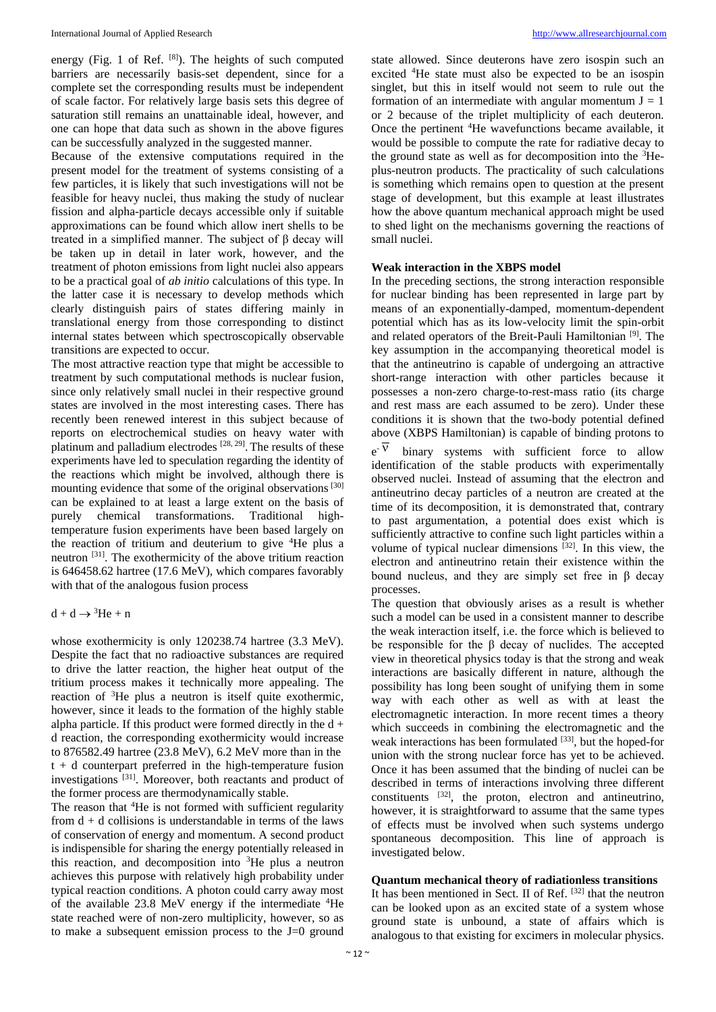energy (Fig. 1 of Ref. [8]). The heights of such computed barriers are necessarily basis-set dependent, since for a complete set the corresponding results must be independent of scale factor. For relatively large basis sets this degree of saturation still remains an unattainable ideal, however, and one can hope that data such as shown in the above figures can be successfully analyzed in the suggested manner.

Because of the extensive computations required in the present model for the treatment of systems consisting of a few particles, it is likely that such investigations will not be feasible for heavy nuclei, thus making the study of nuclear fission and alpha-particle decays accessible only if suitable approximations can be found which allow inert shells to be treated in a simplified manner. The subject of β decay will be taken up in detail in later work, however, and the treatment of photon emissions from light nuclei also appears to be a practical goal of *ab initio* calculations of this type. In the latter case it is necessary to develop methods which clearly distinguish pairs of states differing mainly in translational energy from those corresponding to distinct internal states between which spectroscopically observable transitions are expected to occur.

The most attractive reaction type that might be accessible to treatment by such computational methods is nuclear fusion, since only relatively small nuclei in their respective ground states are involved in the most interesting cases. There has recently been renewed interest in this subject because of reports on electrochemical studies on heavy water with platinum and palladium electrodes [28, 29]. The results of these experiments have led to speculation regarding the identity of the reactions which might be involved, although there is mounting evidence that some of the original observations [30] can be explained to at least a large extent on the basis of purely chemical transformations. Traditional hightemperature fusion experiments have been based largely on the reaction of tritium and deuterium to give <sup>4</sup>He plus a neutron [31]. The exothermicity of the above tritium reaction is 646458.62 hartree (17.6 MeV), which compares favorably with that of the analogous fusion process

 $d + d \rightarrow 3$ He + n

whose exothermicity is only 120238.74 hartree (3.3 MeV). Despite the fact that no radioactive substances are required to drive the latter reaction, the higher heat output of the tritium process makes it technically more appealing. The reaction of <sup>3</sup>He plus a neutron is itself quite exothermic, however, since it leads to the formation of the highly stable alpha particle. If this product were formed directly in the  $d +$ d reaction, the corresponding exothermicity would increase to 876582.49 hartree (23.8 MeV), 6.2 MeV more than in the  $t + d$  counterpart preferred in the high-temperature fusion investigations [31]. Moreover, both reactants and product of the former process are thermodynamically stable.

The reason that <sup>4</sup>He is not formed with sufficient regularity from  $d + d$  collisions is understandable in terms of the laws of conservation of energy and momentum. A second product is indispensible for sharing the energy potentially released in this reaction, and decomposition into <sup>3</sup>He plus a neutron achieves this purpose with relatively high probability under typical reaction conditions. A photon could carry away most of the available 23.8 MeV energy if the intermediate <sup>4</sup>He state reached were of non-zero multiplicity, however, so as to make a subsequent emission process to the J=0 ground

state allowed. Since deuterons have zero isospin such an excited <sup>4</sup>He state must also be expected to be an isospin singlet, but this in itself would not seem to rule out the formation of an intermediate with angular momentum  $J = 1$ or 2 because of the triplet multiplicity of each deuteron. Once the pertinent <sup>4</sup>He wavefunctions became available, it would be possible to compute the rate for radiative decay to the ground state as well as for decomposition into the  ${}^{3}$ Heplus-neutron products. The practicality of such calculations is something which remains open to question at the present stage of development, but this example at least illustrates how the above quantum mechanical approach might be used to shed light on the mechanisms governing the reactions of small nuclei.

#### **Weak interaction in the XBPS model**

In the preceding sections, the strong interaction responsible for nuclear binding has been represented in large part by means of an exponentially-damped, momentum-dependent potential which has as its low-velocity limit the spin-orbit and related operators of the Breit-Pauli Hamiltonian<sup>[9]</sup>. The key assumption in the accompanying theoretical model is that the antineutrino is capable of undergoing an attractive short-range interaction with other particles because it possesses a non-zero charge-to-rest-mass ratio (its charge and rest mass are each assumed to be zero). Under these conditions it is shown that the two-body potential defined above (XBPS Hamiltonian) is capable of binding protons to  $e^{-V}$  binary systems with sufficient force to allow identification of the stable products with experimentally observed nuclei. Instead of assuming that the electron and antineutrino decay particles of a neutron are created at the time of its decomposition, it is demonstrated that, contrary to past argumentation, a potential does exist which is sufficiently attractive to confine such light particles within a volume of typical nuclear dimensions  $^{[32]}$ . In this view, the electron and antineutrino retain their existence within the bound nucleus, and they are simply set free in  $\beta$  decay processes.

The question that obviously arises as a result is whether such a model can be used in a consistent manner to describe the weak interaction itself, i.e. the force which is believed to be responsible for the  $\beta$  decay of nuclides. The accepted view in theoretical physics today is that the strong and weak interactions are basically different in nature, although the possibility has long been sought of unifying them in some way with each other as well as with at least the electromagnetic interaction. In more recent times a theory which succeeds in combining the electromagnetic and the weak interactions has been formulated [33], but the hoped-for union with the strong nuclear force has yet to be achieved. Once it has been assumed that the binding of nuclei can be described in terms of interactions involving three different constituents [32], the proton, electron and antineutrino, however, it is straightforward to assume that the same types of effects must be involved when such systems undergo spontaneous decomposition. This line of approach is investigated below.

# **Quantum mechanical theory of radiationless transitions**

It has been mentioned in Sect. II of Ref. [32] that the neutron can be looked upon as an excited state of a system whose ground state is unbound, a state of affairs which is analogous to that existing for excimers in molecular physics.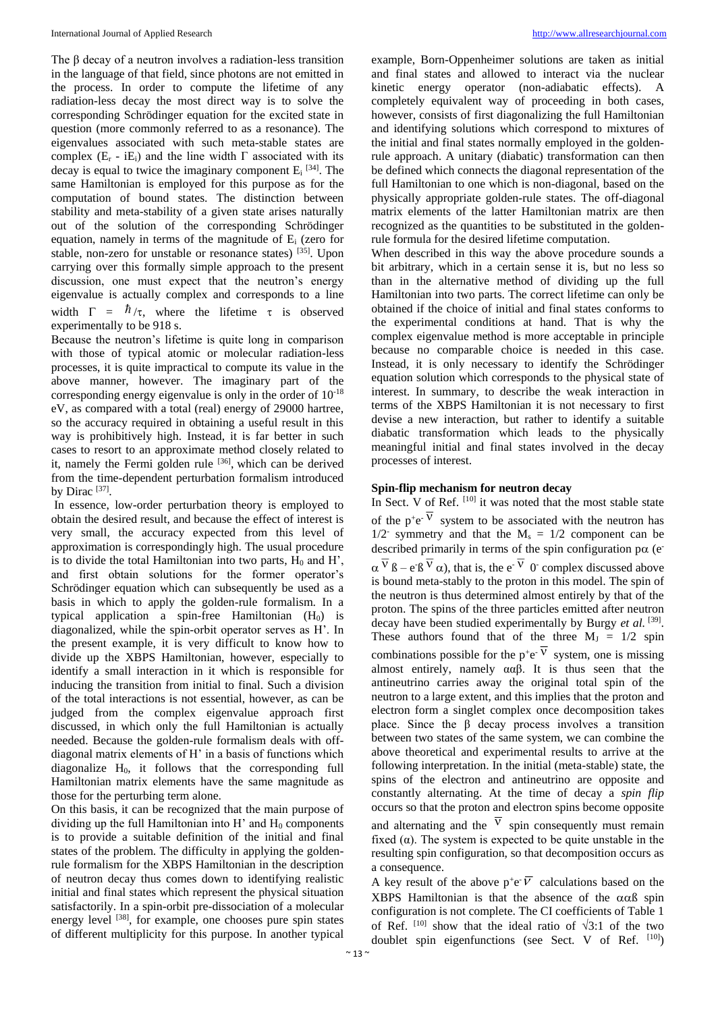The  $\beta$  decay of a neutron involves a radiation-less transition in the language of that field, since photons are not emitted in the process. In order to compute the lifetime of any radiation-less decay the most direct way is to solve the corresponding Schrödinger equation for the excited state in question (more commonly referred to as a resonance). The eigenvalues associated with such meta-stable states are complex  $(E_r - iE_i)$  and the line width  $\Gamma$  associated with its decay is equal to twice the imaginary component  $E_i$ <sup>[34]</sup>. The same Hamiltonian is employed for this purpose as for the computation of bound states. The distinction between stability and meta-stability of a given state arises naturally out of the solution of the corresponding Schrödinger equation, namely in terms of the magnitude of E<sup>i</sup> (zero for stable, non-zero for unstable or resonance states) [35]. Upon carrying over this formally simple approach to the present discussion, one must expect that the neutron's energy eigenvalue is actually complex and corresponds to a line width  $\Gamma = \hbar / \tau$ , where the lifetime  $\tau$  is observed experimentally to be 918 s.

Because the neutron's lifetime is quite long in comparison with those of typical atomic or molecular radiation-less processes, it is quite impractical to compute its value in the above manner, however. The imaginary part of the corresponding energy eigenvalue is only in the order of 10-18 eV, as compared with a total (real) energy of 29000 hartree, so the accuracy required in obtaining a useful result in this way is prohibitively high. Instead, it is far better in such cases to resort to an approximate method closely related to it, namely the Fermi golden rule <sup>[36]</sup>, which can be derived from the time-dependent perturbation formalism introduced by Dirac  $^{[37]}$ .

In essence, low-order perturbation theory is employed to obtain the desired result, and because the effect of interest is very small, the accuracy expected from this level of approximation is correspondingly high. The usual procedure is to divide the total Hamiltonian into two parts,  $H_0$  and H', and first obtain solutions for the former operator's Schrödinger equation which can subsequently be used as a basis in which to apply the golden-rule formalism. In a typical application a spin-free Hamiltonian  $(H_0)$  is diagonalized, while the spin-orbit operator serves as H'. In the present example, it is very difficult to know how to divide up the XBPS Hamiltonian, however, especially to identify a small interaction in it which is responsible for inducing the transition from initial to final. Such a division of the total interactions is not essential, however, as can be judged from the complex eigenvalue approach first discussed, in which only the full Hamiltonian is actually needed. Because the golden-rule formalism deals with offdiagonal matrix elements of H' in a basis of functions which diagonalize  $H_0$ , it follows that the corresponding full Hamiltonian matrix elements have the same magnitude as those for the perturbing term alone.

On this basis, it can be recognized that the main purpose of dividing up the full Hamiltonian into  $H'$  and  $H_0$  components is to provide a suitable definition of the initial and final states of the problem. The difficulty in applying the goldenrule formalism for the XBPS Hamiltonian in the description of neutron decay thus comes down to identifying realistic initial and final states which represent the physical situation satisfactorily. In a spin-orbit pre-dissociation of a molecular energy level <sup>[38]</sup>, for example, one chooses pure spin states of different multiplicity for this purpose. In another typical

example, Born-Oppenheimer solutions are taken as initial and final states and allowed to interact via the nuclear kinetic energy operator (non-adiabatic effects). A completely equivalent way of proceeding in both cases, however, consists of first diagonalizing the full Hamiltonian and identifying solutions which correspond to mixtures of the initial and final states normally employed in the goldenrule approach. A unitary (diabatic) transformation can then be defined which connects the diagonal representation of the full Hamiltonian to one which is non-diagonal, based on the physically appropriate golden-rule states. The off-diagonal matrix elements of the latter Hamiltonian matrix are then recognized as the quantities to be substituted in the goldenrule formula for the desired lifetime computation.

When described in this way the above procedure sounds a bit arbitrary, which in a certain sense it is, but no less so than in the alternative method of dividing up the full Hamiltonian into two parts. The correct lifetime can only be obtained if the choice of initial and final states conforms to the experimental conditions at hand. That is why the complex eigenvalue method is more acceptable in principle because no comparable choice is needed in this case. Instead, it is only necessary to identify the Schrödinger equation solution which corresponds to the physical state of interest. In summary, to describe the weak interaction in terms of the XBPS Hamiltonian it is not necessary to first devise a new interaction, but rather to identify a suitable diabatic transformation which leads to the physically meaningful initial and final states involved in the decay processes of interest.

### **Spin-flip mechanism for neutron decay**

In Sect. V of Ref.  $^{[10]}$  it was noted that the most stable state of the  $p^+e^-$ <sup>V</sup> system to be associated with the neutron has  $1/2$  symmetry and that the  $M_s = 1/2$  component can be described primarily in terms of the spin configuration p $\alpha$  (e- $\alpha^V$   $\beta$  – e<sup>- $\beta^V$ </sup>  $\alpha$ ), that is, the e<sup>-V</sup> 0<sup>-</sup> complex discussed above is bound meta-stably to the proton in this model. The spin of the neutron is thus determined almost entirely by that of the proton. The spins of the three particles emitted after neutron decay have been studied experimentally by Burgy et al. [39]. These authors found that of the three  $M_J = 1/2$  spin combinations possible for the  $p^+e^-$ <sup>V</sup> system, one is missing almost entirely, namely  $\alpha \alpha \beta$ . It is thus seen that the antineutrino carries away the original total spin of the neutron to a large extent, and this implies that the proton and electron form a singlet complex once decomposition takes place. Since the β decay process involves a transition between two states of the same system, we can combine the above theoretical and experimental results to arrive at the following interpretation. In the initial (meta-stable) state, the spins of the electron and antineutrino are opposite and constantly alternating. At the time of decay a *spin flip*  occurs so that the proton and electron spins become opposite and alternating and the  $\overline{v}$  spin consequently must remain fixed  $(\alpha)$ . The system is expected to be quite unstable in the resulting spin configuration, so that decomposition occurs as a consequence.

A key result of the above  $p^+e^- \overline{V}$  calculations based on the XBPS Hamiltonian is that the absence of the  $\alpha \alpha \beta$  spin configuration is not complete. The CI coefficients of Table 1 of Ref.  $^{[10]}$  show that the ideal ratio of  $\sqrt{3:1}$  of the two doublet spin eigenfunctions (see Sect. V of Ref.  $[10]$ )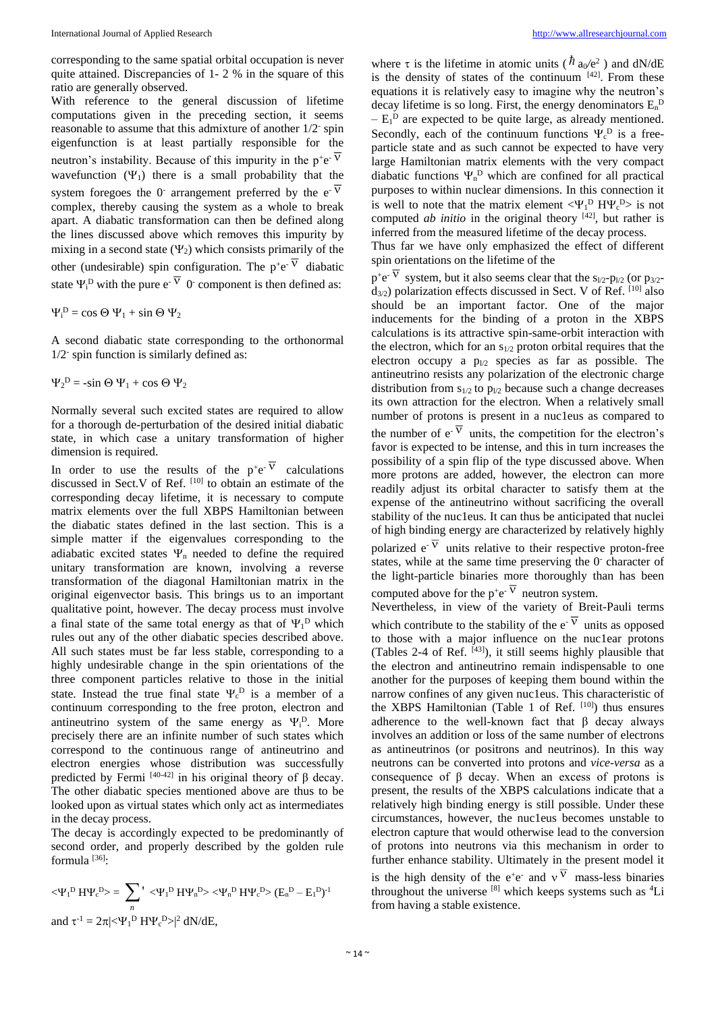corresponding to the same spatial orbital occupation is never quite attained. Discrepancies of 1- 2 % in the square of this ratio are generally observed.

With reference to the general discussion of lifetime computations given in the preceding section, it seems reasonable to assume that this admixture of another  $1/2$ <sup>-</sup> spin eigenfunction is at least partially responsible for the neutron's instability. Because of this impurity in the  $p^+e^{-\overline{V}}$ wavefunction  $(\Psi_1)$  there is a small probability that the system foregoes the 0<sup>-</sup> arrangement preferred by the e<sup>- $\overline{v}$ </sup> complex, thereby causing the system as a whole to break apart. A diabatic transformation can then be defined along the lines discussed above which removes this impurity by mixing in a second state  $(\Psi_2)$  which consists primarily of the other (undesirable) spin configuration. The  $p^+e^-$ <sup>V</sup> diabatic state  $\Psi_i^{\text{D}}$  with the pure e<sup>- $\overline{V}$ </sup> 0<sup>-</sup> component is then defined as:

 $\Psi_i^D = \cos \Theta \Psi_1 + \sin \Theta \Psi_2$ 

A second diabatic state corresponding to the orthonormal 1/2- spin function is similarly defined as:

 $\Psi_2^D = -\sin \Theta \Psi_1 + \cos \Theta \Psi_2$ 

Normally several such excited states are required to allow for a thorough de-perturbation of the desired initial diabatic state, in which case a unitary transformation of higher dimension is required.

In order to use the results of the  $p^+e^-$ <sup>V</sup> calculations discussed in Sect.V of Ref.  $[10]$  to obtain an estimate of the corresponding decay lifetime, it is necessary to compute matrix elements over the full XBPS Hamiltonian between the diabatic states defined in the last section. This is a simple matter if the eigenvalues corresponding to the adiabatic excited states  $\Psi_n$  needed to define the required unitary transformation are known, involving a reverse transformation of the diagonal Hamiltonian matrix in the original eigenvector basis. This brings us to an important qualitative point, however. The decay process must involve a final state of the same total energy as that of  $\Psi_1^D$  which rules out any of the other diabatic species described above. All such states must be far less stable, corresponding to a highly undesirable change in the spin orientations of the three component particles relative to those in the initial state. Instead the true final state  $\Psi_c^D$  is a member of a continuum corresponding to the free proton, electron and antineutrino system of the same energy as  $\Psi_i^D$ . More precisely there are an infinite number of such states which correspond to the continuous range of antineutrino and electron energies whose distribution was successfully predicted by Fermi  $[40-42]$  in his original theory of β decay. The other diabatic species mentioned above are thus to be looked upon as virtual states which only act as intermediates in the decay process.

The decay is accordingly expected to be predominantly of second order, and properly described by the golden rule formula  $^{[36]}\cdot$ 

$$
\langle \Psi_1^D H \Psi_c^D \rangle = \sum_n \, ' \, \langle \Psi_1^D H \Psi_n^D \rangle \langle \Psi_n^D H \Psi_c^D \rangle \, (E_n^D - E_1^D)^{-1}
$$
\n
$$
\text{and } \tau^{-1} = 2\pi |\langle \Psi_1^D H \Psi_c^D \rangle|^2 \, dN/dE,
$$

where  $\tau$  is the lifetime in atomic units ( $\hbar$  a<sub>0</sub>/e<sup>2</sup>) and dN/dE is the density of states of the continuum  $[42]$ . From these equations it is relatively easy to imagine why the neutron's decay lifetime is so long. First, the energy denominators  $E_n^D$  $- E_1^D$  are expected to be quite large, as already mentioned. Secondly, each of the continuum functions  $\Psi_c^D$  is a freeparticle state and as such cannot be expected to have very large Hamiltonian matrix elements with the very compact diabatic functions  $\Psi_n^D$  which are confined for all practical purposes to within nuclear dimensions. In this connection it is well to note that the matrix element  $\langle \Psi_1^{\text{D}} H \Psi_{\text{c}}^{\text{D}} \rangle$  is not computed *ab initio* in the original theory  $[42]$ , but rather is inferred from the measured lifetime of the decay process.

Thus far we have only emphasized the effect of different spin orientations on the lifetime of the

 $p^+e^-$ <sup>V</sup> system, but it also seems clear that the s<sub>1/2</sub>-p<sub>1/2</sub> (or p<sub>3/2</sub> $d_{3/2}$ ) polarization effects discussed in Sect. V of Ref. [10] also should be an important factor. One of the major inducements for the binding of a proton in the XBPS calculations is its attractive spin-same-orbit interaction with the electron, which for an  $s_{1/2}$  proton orbital requires that the electron occupy a  $p_{1/2}$  species as far as possible. The antineutrino resists any polarization of the electronic charge distribution from  $s_{1/2}$  to  $p_{1/2}$  because such a change decreases its own attraction for the electron. When a relatively small number of protons is present in a nuc1eus as compared to the number of  $e^V$  units, the competition for the electron's favor is expected to be intense, and this in turn increases the possibility of a spin flip of the type discussed above. When more protons are added, however, the electron can more readily adjust its orbital character to satisfy them at the expense of the antineutrino without sacrificing the overall stability of the nuc1eus. It can thus be anticipated that nuclei of high binding energy are characterized by relatively highly polarized  $e^V$  units relative to their respective proton-free states, while at the same time preserving the  $0$ <sup>-</sup> character of the light-particle binaries more thoroughly than has been computed above for the  $p^+e^-$ <sup>V</sup> neutron system.

Nevertheless, in view of the variety of Breit-Pauli terms which contribute to the stability of the  $e^{-V}$  units as opposed to those with a major influence on the nuclear protons (Tables 2-4 of Ref.  $[43]$ ), it still seems highly plausible that the electron and antineutrino remain indispensable to one another for the purposes of keeping them bound within the narrow confines of any given nuc1eus. This characteristic of the XBPS Hamiltonian (Table 1 of Ref.  $[10]$ ) thus ensures adherence to the well-known fact that  $\beta$  decay always involves an addition or loss of the same number of electrons as antineutrinos (or positrons and neutrinos). In this way neutrons can be converted into protons and *vice-versa* as a consequence of β decay. When an excess of protons is present, the results of the XBPS calculations indicate that a relatively high binding energy is still possible. Under these circumstances, however, the nuc1eus becomes unstable to electron capture that would otherwise lead to the conversion of protons into neutrons via this mechanism in order to further enhance stability. Ultimately in the present model it is the high density of the e<sup>+</sup>e<sup>-</sup> and  $v<sup>V</sup>$  mass-less binaries throughout the universe  $[8]$  which keeps systems such as  ${}^{4}$ Li from having a stable existence.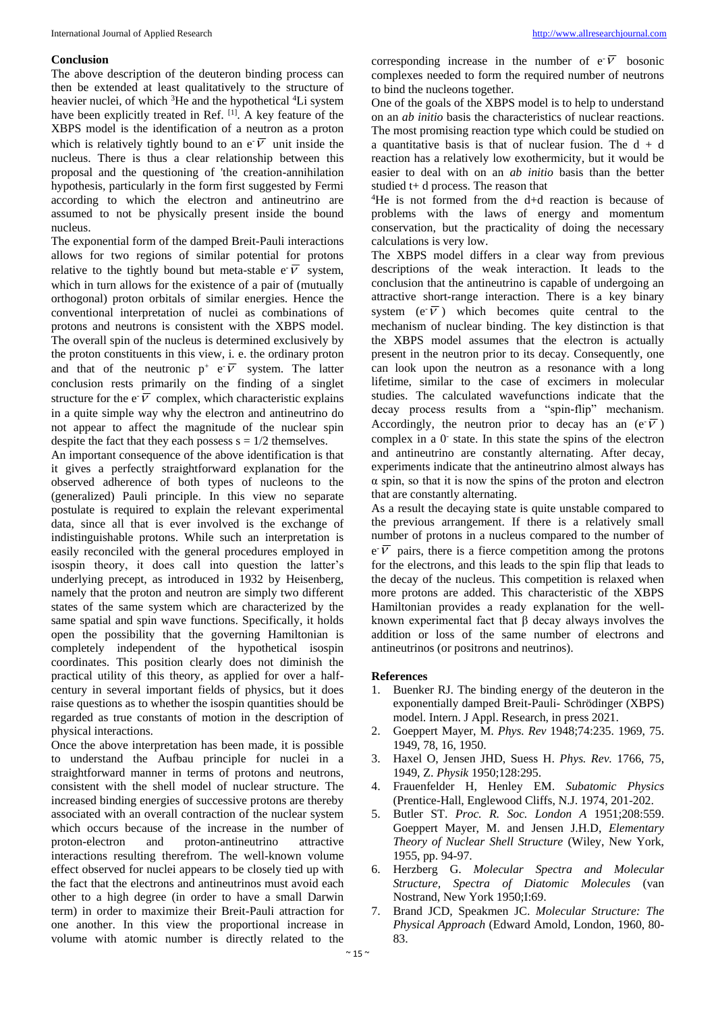# **Conclusion**

The above description of the deuteron binding process can then be extended at least qualitatively to the structure of heavier nuclei, of which  ${}^{3}$ He and the hypothetical  ${}^{4}$ Li system have been explicitly treated in Ref. [1]. A key feature of the XBPS model is the identification of a neutron as a proton which is relatively tightly bound to an  $e^{\sqrt{V}}$  unit inside the nucleus. There is thus a clear relationship between this proposal and the questioning of 'the creation-annihilation hypothesis, particularly in the form first suggested by Fermi according to which the electron and antineutrino are assumed to not be physically present inside the bound nucleus.

The exponential form of the damped Breit-Pauli interactions allows for two regions of similar potential for protons relative to the tightly bound but meta-stable  $e^{\overrightarrow{V}}$  system, which in turn allows for the existence of a pair of (mutually orthogonal) proton orbitals of similar energies. Hence the conventional interpretation of nuclei as combinations of protons and neutrons is consistent with the XBPS model. The overall spin of the nucleus is determined exclusively by the proton constituents in this view, i*.* e. the ordinary proton and that of the neutronic  $p^+$  e  $\overline{V}$  system. The latter conclusion rests primarily on the finding of a singlet structure for the  $e^{\tau} \overline{V}$  complex, which characteristic explains in a quite simple way why the electron and antineutrino do not appear to affect the magnitude of the nuclear spin despite the fact that they each possess  $s = 1/2$  themselves.

An important consequence of the above identification is that it gives a perfectly straightforward explanation for the observed adherence of both types of nucleons to the (generalized) Pauli principle. In this view no separate postulate is required to explain the relevant experimental data, since all that is ever involved is the exchange of indistinguishable protons. While such an interpretation is easily reconciled with the general procedures employed in isospin theory, it does call into question the latter's underlying precept, as introduced in 1932 by Heisenberg, namely that the proton and neutron are simply two different states of the same system which are characterized by the same spatial and spin wave functions. Specifically, it holds open the possibility that the governing Hamiltonian is completely independent of the hypothetical isospin coordinates. This position clearly does not diminish the practical utility of this theory, as applied for over a halfcentury in several important fields of physics, but it does raise questions as to whether the isospin quantities should be regarded as true constants of motion in the description of physical interactions.

Once the above interpretation has been made, it is possible to understand the Aufbau principle for nuclei in a straightforward manner in terms of protons and neutrons, consistent with the shell model of nuclear structure. The increased binding energies of successive protons are thereby associated with an overall contraction of the nuclear system which occurs because of the increase in the number of proton-electron and proton-antineutrino attractive interactions resulting therefrom. The well-known volume effect observed for nuclei appears to be closely tied up with the fact that the electrons and antineutrinos must avoid each other to a high degree (in order to have a small Darwin term) in order to maximize their Breit-Pauli attraction for one another. In this view the proportional increase in volume with atomic number is directly related to the

corresponding increase in the number of  $e^{\cdot}$  bosonic complexes needed to form the required number of neutrons to bind the nucleons together.

One of the goals of the XBPS model is to help to understand on an *ab initio* basis the characteristics of nuclear reactions. The most promising reaction type which could be studied on a quantitative basis is that of nuclear fusion. The  $d + d$ reaction has a relatively low exothermicity, but it would be easier to deal with on an *ab initio* basis than the better studied t+ d process. The reason that

<sup>4</sup>He is not formed from the d+d reaction is because of problems with the laws of energy and momentum conservation, but the practicality of doing the necessary calculations is very low.

The XBPS model differs in a clear way from previous descriptions of the weak interaction. It leads to the conclusion that the antineutrino is capable of undergoing an attractive short-range interaction. There is a key binary system (e $\overline{V}$ ) which becomes quite central to the mechanism of nuclear binding. The key distinction is that the XBPS model assumes that the electron is actually present in the neutron prior to its decay. Consequently, one can look upon the neutron as a resonance with a long lifetime, similar to the case of excimers in molecular studies. The calculated wavefunctions indicate that the decay process results from a "spin-flip" mechanism. Accordingly, the neutron prior to decay has an  $(e^{\cdot}\overline{V})$ complex in a  $0$ <sup>-</sup> state. In this state the spins of the electron and antineutrino are constantly alternating. After decay, experiments indicate that the antineutrino almost always has  $\alpha$  spin, so that it is now the spins of the proton and electron that are constantly alternating.

As a result the decaying state is quite unstable compared to the previous arrangement. If there is a relatively small number of protons in a nucleus compared to the number of  $e^{\phi}$  pairs, there is a fierce competition among the protons for the electrons, and this leads to the spin flip that leads to the decay of the nucleus. This competition is relaxed when more protons are added. This characteristic of the XBPS Hamiltonian provides a ready explanation for the wellknown experimental fact that β decay always involves the addition or loss of the same number of electrons and antineutrinos (or positrons and neutrinos).

#### **References**

- 1. Buenker RJ. The binding energy of the deuteron in the exponentially damped Breit-Pauli- Schrödinger (XBPS) model. Intern. J Appl. Research, in press 2021.
- 2. Goeppert Mayer, M. *Phys. Rev* 1948;74:235. 1969, 75. 1949, 78, 16, 1950.
- 3. Haxel O, Jensen JHD, Suess H. *Phys. Rev.* 1766, 75, 1949, Z. *Physik* 1950;128:295.
- 4. Frauenfelder H, Henley EM. *Subatomic Physics*  (Prentice-Hall, Englewood Cliffs, N.J. 1974, 201-202.
- 5. Butler ST. *Proc. R. Soc. London A* 1951;208:559. Goeppert Mayer, M. and Jensen J.H.D, *Elementary Theory of Nuclear Shell Structure* (Wiley, New York, 1955, pp. 94-97.
- 6. Herzberg G. *Molecular Spectra and Molecular Structure, Spectra of Diatomic Molecules* (van Nostrand, New York 1950;I:69.
- 7. Brand JCD, Speakmen JC. *Molecular Structure: The Physical Approach* (Edward Amold, London, 1960, 80- 83.